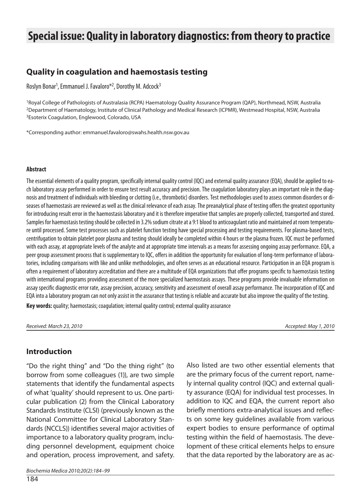# **Special issue: Quality in laboratory diagnostics: from theory to practice**

# **Quality in coagulation and haemostasis testing**

Roslyn Bonar<sup>1</sup>, Emmanuel J. Favaloro<sup>\*2</sup>, Dorothy M. Adcock<sup>3</sup>

<sup>1</sup>Royal College of Pathologists of Australasia (RCPA) Haematology Quality Assurance Program (QAP), Northmead, NSW, Australia <sup>2</sup>Department of Haematology, Institute of Clinical Pathology and Medical Research (ICPMR), Westmead Hospital, NSW, Australia <sup>3</sup>Esoterix Coagulation, Englewood, Colorado, USA

\*Cor res pon di ng aut hor: em ma nuel.favaloro@swahs.health.nsw.gov.au

#### **Ab stra ct**

The essential elements of a quality program, specifically internal quality control (IQC) and external quality assurance (EQA), should be applied to each laboratory assay performed in order to ensure test result accuracy and precision. The coagulation laboratory plays an important role in the diagnosis and treatment of individuals with bleeding or clotting (i.e., thrombotic) disorders. Test methodologies used to assess common disorders or diseases of haemostasis are reviewed as well as the clinical relevance of each assay. The preanalytical phase of testing offers the greatest opportunity for introducing result error in the haemostasis laboratory and it is therefore imperative that samples are properly collected, transported and stored. Samples for haemostasis testing should be collected in 3.2% sodium citrate at a 9:1 blood to anticoagulant ratio and maintained at room temperature until processed. Some test processes such as platelet function testing have special processing and testing requirements. For plasma-based tests, centrifugation to obtain platelet poor plasma and testing should ideally be completed within 4 hours or the plasma frozen. IQC must be performed with each assay, at appropriate levels of the analyte and at appropriate time intervals as a means for assessing ongoing assay performance. EQA, a peer group assessment process that is supplementary to IQC, offers in addition the opportunity for evaluation of long-term performance of laboratories, including comparisons with like and unlike methodologies, and often serves as an educational resource. Participation in an EQA program is often a requirement of laboratory accreditation and there are a multitude of EQA organizations that offer programs specific to haemostasis testing with international programs providing assessment of the more specialized haemostasis assays. These programs provide invaluable information on assay specific diagnostic error rate, assay precision, accuracy, sensitivity and assessment of overall assay performance. The incorporation of IQC and EQA into a laboratory program can not only assist in the assurance that testing is reliable and accurate but also improve the quality of the testing.

**Key words:** quality; haemostasis; coagulation; internal quality control; external quality assurance

Re cei ved: Mar ch 23, 2010 Ac cep ted: May 1, 2010

#### **In tro duc tion**

"Do the right thing" and "Do the thing right" (to borrow from some colleagues (1)), are two simple statements that identify the fundamental aspects of what 'quality' should represent to us. One particular publication (2) from the Clinical Laboratory Standards Institute (CLSI) (previously known as the National Committee for Clinical Laboratory Standards (NCCLS)) identifies several major activities of importance to a laboratory quality program, including personnel development, equipment choice and operation, process improvement, and safety. Also listed are two other essential elements that are the primary focus of the current report, namely internal quality control (IQC) and external quality assurance (EQA) for individual test processes. In addition to IQC and EQA, the current report also briefly mentions extra-analytical issues and reflects on some key quidelines available from various expert bodies to ensure performance of optimal testing within the field of hae mostasis. The development of these critical elements helps to ensure that the data reported by the laboratory are as ac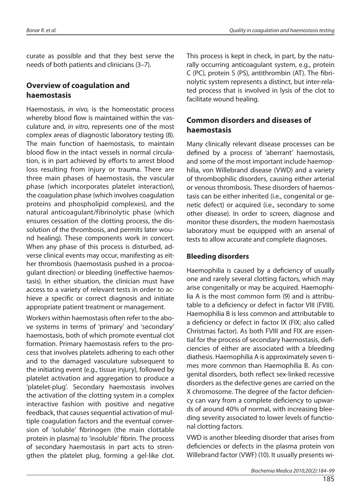curate as possible and that they best serve the needs of both patients and clinicians (3–7).

# **Overview of coagulation and hae mos ta sis**

Hae mostasis, in vivo, is the home ostatic process whereby blood flow is maintained within the vasculature and, in vitro, represents one of the most complex areas of diagnostic laboratory testing (8). The main function of haemostasis, to maintain blood flow in the intact vessels in normal circulation, is in part achieved by efforts to arrest blood loss resulting from injury or trauma. There are three main phases of haemostasis, the vascular phase (which incorporates platelet interaction), the coaqulation phase (which involves coaqulation proteins and phospholipid complexes), and the natural anticoa gulant/fibrinolytic phase (which ensures cessation of the clotting process, the dissolution of the thrombosis, and permits later wound healing). These components work in concert. When any phase of this process is disturbed, adverse clinical events may occur, manifesting as either thrombosis (haemostasis pushed in a procoagulant direction) or bleeding (ineffective haemostasis). In either situation, the clinician must have access to a variety of relevant tests in order to achieve a specific or correct diagnosis and initiate appropriate patient treatment or management.

Workers within haemostasis often refer to the above systems in terms of 'primary' and 'secondary' hae mostasis, both of which promote eventual clot formation. Primary haemostasis refers to the process that involves platelets adhering to each other and to the damaged vasculature subsequent to the initiating event (e.g., tissue injury), followed by platelet activation and aggregation to produce a 'platelet-plug'. Secondary hae mostasis involves the activation of the clotting system in a complex interactive fashion with positive and negative feedback, that causes sequential activation of multiple coaqulation factors and the eventual conversion of 'soluble' fibrinogen (the main clottable protein in plasma) to 'insoluble' fibrin. The process of secondary haemostasis in part acts to strengthen the platelet plug, forming a gel-like clot.

This process is kept in check, in part, by the naturally occurring anticoagulant system, e.g., protein C (PC), protein S (PS), antithrombin (AT). The fibrinolytic system represents a distinct, but inter-related process that is involved in lysis of the clot to facilitate wound healing.

# **Common disorders and diseases of hae mos ta sis**

Many clinically relevant disease processes can be defined by a process of 'aberrant' haemostasis, and some of the most important include haemophilia, von Willebrand disease (VWD) and a variety of thrombophilic disorders, causing either arterial or venous thrombosis. These disorders of haemostasis can be either inherited (i.e., congenital or genetic defect) or acquired (i.e., secondary to some other disease). In order to screen, diagnose and monitor these disorders, the modern hae mostasis laboratory must be equipped with an arsenal of tests to allow accurate and complete diagnoses.

## **Bleeding disorders**

Hae mophilia is caused by a deficiency of usually one and rarely several clotting factors, which may arise congenitally or may be acquired. Haemophilia A is the most common form (9) and is attributable to a deficiency or defect in factor VIII (FVIII). Hae mophilia B is less common and attributable to a deficiency or defect in factor IX (FIX; also called Christmas factor). As both FVIII and FIX are essential for the process of secondary hae mostasis, deficiencies of either are associated with a bleeding diathesis. Haemophilia A is approximately seven times more common than Haemophilia B. As congenital disorders, both reflect sex-linked recessive disorders as the defective genes are carried on the X chromosome. The degree of the factor deficiency can vary from a complete deficiency to upwards of around 40% of normal, with increasing bleeding severity associated to lower levels of functional clotting factors.

VWD is another bleeding disorder that arises from deficiencies or defects in the plasma protein von Willebrand factor (VWF) (10). It usually presents wi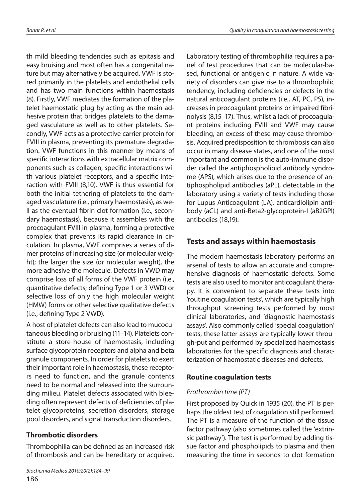th mild bleeding tendencies such as epitasis and easy bruising and most often has a congenital nature but may alternatively be acquired. VWF is stored primarily in the platelets and endothelial cells and has two main functions within hae mostasis (8). Firstly, VWF mediates the formation of the platelet hae mostatic plug by acting as the main adhesive protein that bridges platelets to the damaged vasculature as well as to other platelets. Secondly, VWF acts as a protective carrier protein for FVIII in plasma, preventing its premature degradation. VWF functions in this manner by means of specific interactions with extracellular matrix components such as collagen, specific interactions with various platelet receptors, and a specific interaction with FVIII (8,10). VWF is thus essential for both the initial tethering of platelets to the damaged vasculature (i.e., primary haemostasis), as we-Il as the eventual fibrin clot formation (i.e., secondary hae mostasis), because it assembles with the procoagulant FVIII in plasma, forming a protective complex that prevents its rapid clearance in circulation. In plasma, VWF comprises a series of dimer proteins of increasing size (or molecular weight); the larger the size (or molecular weight), the more adhesive the molecule. Defects in VWD may comprise loss of all forms of the VWF protein (i.e., quantitative defects; defining Type 1 or 3 VWD) or selective loss of only the high molecular weight (HMW) forms or other selective qualitative defects (i.e., defining Type 2 VWD).

A host of platelet defects can also lead to mucocutaneous bleeding or bruising (11-14). Platelets constitute a store-house of haemostasis, including surface glycoprotein receptors and alpha and beta granule components. In order for platelets to exert their important role in hae mostasis, the se receptors need to function, and the granule contents need to be normal and released into the surrounding milieu. Platelet defects associated with bleeding often represent defects of deficiencies of platelet glycoproteins, secretion disorders, storage pool disorders, and signal transduction disorders.

# **Throm bo tic di sor de rs**

Thrombophilia can be defined as an increased risk of thrombosis and can be hereditary or acquired.

186

Laboratory testing of thrombophilia requires a panel of test procedures that can be molecular-based, functional or antigenic in nature. A wide variety of disorders can give rise to a thrombophilic tendency, including deficiencies or defects in the natural anticoagulant proteins (i.e., AT, PC, PS), increases in procoaqulant proteins or impaired fibrinolysis (8,15–17). Thus, whilst a lack of procoagulant proteins including FVIII and VWF may cause bleeding, an excess of these may cause thrombosis. Acquired predisposition to thrombosis can also occur in many disease states, and one of the most important and common is the auto-immune disorder called the antiphospholipid antibody syndrome (APS), which arises due to the presence of antiphospholipid antibodies (aPL), detectable in the laboratory using a variety of tests including those for Lupus Anticoagulant (LA), anticardiolipin antibody (aCL) and anti-Beta2-glycoprotein-I (aB2GPI) an tibo dies (18,19).

# **Tests and assays within haemostasis**

The modern haemostasis laboratory performs an ar senal of tests to allow an accurate and comprehensive diagnosis of haemostatic defects. Some tests are also used to monitor anticoagulant therapy. It is convenient to separate these tests into 'routine coagulation tests', which are typically high throughput screening tests performed by most clinical laboratories, and 'diagnostic haemostasis assays'. Also commonly called 'special coagulation' tests, these latter assays are typically lower through-put and performed by specialized hae mostasis laboratories for the specific diagnosis and characterization of haemostatic diseases and defects.

## **Routine coagulation tests**

#### Prothrombin time (PT)

First proposed by Quick in 1935 (20), the PT is perhaps the oldest test of coagulation still performed. The PT is a measure of the function of the tissue factor pathway (also sometimes called the 'extrinsic pathway'). The test is performed by adding tissue factor and phospholipids to plasma and then measuring the time in seconds to clot formation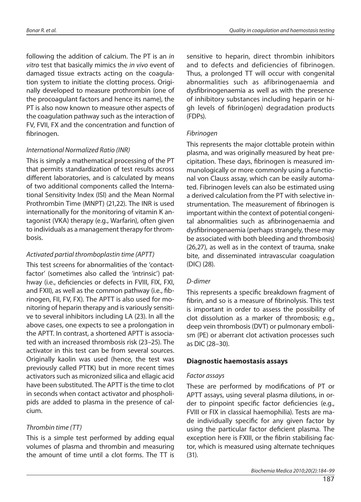following the addition of calcium. The PT is an in vitro test that basically mimics the in vivo event of da ma ged tissue extracts acting on the coagulation system to initiate the clotting process. Originally developed to measure prothrombin (one of the procoagulant factors and hence its name), the PT is also now known to measure other aspects of the coaqulation pathway such as the interaction of FV, FVII, FX and the concentration and function of fibrinogen.

#### International Normalized Ratio (INR)

This is simply a mathematical processing of the PT that permits standardization of test results across different laboratories, and is calculated by means of two additional components called the International Sensitivity Index (ISI) and the Mean Normal Prothrombin Time (MNPT) (21,22). The INR is used internationally for the monitoring of vitamin K antagonist (VKA) therapy (e.g., Warfarin), often given to individuals as a management therapy for thrombo sis.

### Activated partial thromboplastin time (APTT)

This test screens for abnormalities of the 'contactfactor' (sometimes also called the 'intrinsic') pathway (i.e., deficiencies or defects in FVIII, FIX, FXI, and FXII), as well as the common pathway (i.e., fibrinogen, FII, FV, FX). The APTT is also used for monitoring of heparin therapy and is variously sensitive to several inhibitors including LA (23). In all the above cases, one expects to see a prolongation in the APTT. In contrast, a shortened APTT is associated with an increased thrombosis risk (23-25). The activator in this test can be from several sources. Originally kaolin was used (hence, the test was previously called PTTK) but in more recent times activators such as micronized silica and ellagic acid have been substituted. The APTT is the time to clot in seconds when contact activator and phospholipids are added to plasma in the presence of calcium.

## Thrombin time (TT)

This is a simple test performed by adding equal volumes of plasma and thrombin and measuring the amount of time until a clot forms. The TT is sen si tive to he parin, di rect throm bin in hibitors and to defects and deficiencies of fibrinogen. Thus, a prolonged TT will occur with congenital abnormalities such as afibrinogenaemia and dysfibrinogenaemia as well as with the presence of inhibitory substances including heparin or high levels of fibrin(ogen) degradation products (FDPs).

#### **Fibrinogen**

This represents the major clottable protein within plasma, and was originally measured by heat precipitation. These days, fibrinogen is measured immunologically or more commonly using a functional von Clauss assay, which can be easily automated. Fibrinogen levels can also be estimated using a derived calculation from the PT with selective instrumentation. The measurement of fibrinogen is important within the context of potential congenital abnormalities such as afibrinogenaemia and dysfibrino genae mia (per haps strangely, the se may be associated with both bleeding and thrombosis)  $(26,27)$ , as well as in the context of trauma, snake bite, and disseminated intravascular coagulation (DIC) (28).

#### D-dimer

This represents a specific breakdown fragment of fibrin, and so is a measure of fibrinolysis. This test is important in order to assess the possibility of clot dissolution as a marker of thrombosis; e.g., deep vein thrombosis (DVT) or pulmonary embolism (PE) or aberrant clot activation processes such as DIC (28–30).

#### **Diag nos tic hae mos ta sis assays**

#### Factor assays

These are performed by modifications of PT or APTT assays, using several plasma dilutions, in order to pinpoint specific factor deficiencies (e.g., FVIII or FIX in classical haemophilia). Tests are made individually specific for any given factor by using the particular factor deficient plasma. The exception here is FXIII, or the fibrin stabilising factor, which is measured using alternate techniques (31).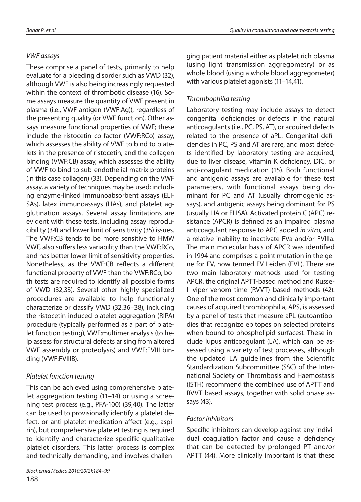# VWF assays

These comprise a panel of tests, primarily to help evaluate for a bleeding disorder such as VWD (32), although VWF is also being increasingly requested within the context of thrombotic disease (16). Some assays measure the quantity of VWF present in plasma (i.e., VWF antigen (VWF:Ag)), regardless of the presenting quality (or VWF function). Other assays measure functional properties of VWF; these include the ristocetin co-factor (VWF:RCo) assay, which assesses the ability of VWF to bind to platelets in the presence of ristocetin, and the collagen binding (VWF:CB) assay, which assesses the ability of VWF to bind to sub-endothelial matrix proteins (in this case collagen) (33). Depending on the VWF assay, a variety of techniques may be used; including enzyme-linked immunoabsorbent assays (ELI-SAs), latex immunoassays (LIAs), and platelet agglutination assays. Several assay limitations are evident with these tests, including assay reproducibility (34) and lower limit of sensitivity (35) issues. The VWF:CB tends to be more sensitive to HMW VWF, also suffers less variability than the VWF:RCo, and has better lower limit of sensitivity properties. Nonetheless, as the VWF:CB reflects a different functional property of VWF than the VWF:RCo, both tests are required to identify all possible forms of VWD (32,33). Several other highly specialized procedures are available to help functionally characterize or classify VWD (32,36–38), including the ristocetin induced platelet aggregation (RIPA) procedure (typically performed as a part of platelet function testing), VWF:multimer analysis (to he-Ip assess for structural defects arising from altered VWF assembly or proteolysis) and VWF:FVIII binding (VWF:FVIIIB).

# Platelet function testing

This can be achieved using comprehensive platelet aggregation testing  $(11-14)$  or using a screening test process (e.g., PFA-100) (39,40). The latter can be used to provisionally identify a platelet defect, or anti-platelet medication affect (e.g., aspirin), but comprehensive platelet testing is required to identify and characterize specific qualitative platelet disorders. This latter process is complex and technically demanding, and involves challen-

188

ging patient material either as platelet rich plasma (using light transmission aggregometry) or as whole blood (using a whole blood aggregometer) with various platelet agonists  $(11-14,41)$ .

# Thrombophilia testing

Laboratory testing may include assays to detect congenital deficiencies or defects in the natural anticoa gulants (i.e., PC, PS, AT), or acquired defects related to the presence of aPL. Congenital deficiencies in PC, PS and AT are rare, and most defects identified by laboratory testing are acquired, due to liver disease, vitamin K deficiency, DIC, or anti-coa quiant medication (15). Both functional and antigenic assays are available for these test parameters, with functional assays being dominant for PC and AT (usually chromogenic assays), and antigenic assays being dominant for PS (usually LIA or ELISA). Activated protein C (APC) resistance (APCR) is defined as an impaired plasma anticoagulant response to APC added in vitro, and a relative inability to inactivate FVa and/or FVIIIa. The main molecular basis of APCR was identified in 1994 and comprises a point mutation in the gene for FV, now termed FV Leiden (FVL). There are two main laboratory methods used for testing APCR, the original APTT-based method and Russe-Il viper venom time (RVVT) based methods (42). One of the most common and clinically important causes of acquired thrombophilia, APS, is assessed by a panel of tests that measure aPL (autoantibodies that recognize epitopes on selected proteins when bound to phospholipid surfaces). These include lupus anticoagulant (LA), which can be assessed using a variety of test processes, although the updated LA guidelines from the Scientific Standardization Subcommittee (SSC) of the International Society on Thrombosis and Haemostasis (ISTH) recommend the combined use of APTT and RVVT based assays, together with solid phase assays (43).

#### Factor inhibitors

Specific inhibitors can develop against any individual coagulation factor and cause a deficiency that can be detected by prolonged PT and/or APTT (44). More clinically important is that these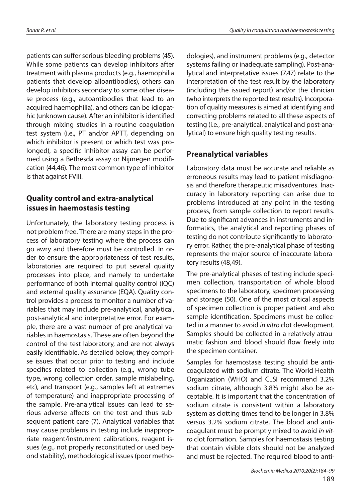patients can suffer serious bleeding problems (45). While some patients can develop inhibitors after treatment with plasma products (e.g., hae mophilia patients that develop alloantibodies), others can develop inhibitors secondary to some other disease process (e.g., autoantibodies that lead to an acquired haemophilia), and others can be idiopathic (unknown cause). After an inhibitor is identified through mixing studies in a routine coagulation test system (i.e., PT and/or APTT, depending on which inhibitor is present or which test was prolonged), a specific inhibitor assay can be performed using a Bethesda assay or Nijmegen modification (44,46). The most common type of inhibitor is that against FVIII.

# **Quality control and extra-analytical issues in haemostasis testing**

Unfortunately, the laboratory testing process is not problem free. There are many steps in the process of laboratory testing where the process can go awry and therefore must be controlled. In order to ensure the appropriateness of test results, laboratories are required to put several quality processes into place, and namely to undertake performance of both internal quality control (IQC) and external quality assurance (EQA). Quality control provides a process to monitor a number of variables that may include pre-analytical, analytical, post-analytical and interpretative error. For example, there are a vast number of pre-analytical variables in haemostasis. These are often beyond the control of the test laboratory, and are not always easily identifiable. As detailed below, they comprise issues that occur prior to testing and include specifics related to collection (e.g., wrong tube type, wrong collection order, sample mislabeling, etc), and transport (e.g., samples left at extremes of temperature) and inappropriate processing of the sample. Pre-analytical issues can lead to serious adverse affects on the test and thus subsequent patient care (7). Analytical variables that may cause problems in testing include inappropriate reagent/instrument calibrations, reagent issues (e.g., not properly reconstituted or used beyond stability), methodological issues (poor methodologies), and instrument problems (e.g., detector systems failing or ina dequate sampling). Post-analytical and interpretative issues (7,47) relate to the interpretation of the test result by the laboratory (including the issued report) and/or the clinician (who interprets the reported test results). Incorporation of quality measures is aimed at identifying and correcting problems related to all these aspects of testing (i.e., pre-analytical, analytical and post-analytical) to ensure high quality testing results.

# **Preanalytical variables**

Laboratory data must be accurate and reliable as erroneous results may lead to patient misdiagnosis and therefore therapeutic misadventures. Inaccuracy in laboratory reporting can arise due to problems introduced at any point in the testing process, from sample collection to report results. Due to significant advances in instruments and informatics, the analytical and reporting phases of testing do not contribute significantly to laboratory error. Rather, the pre-analytical phase of testing represents the major source of inaccurate laboratory results (48,49).

The pre-analytical phases of testing include specimen collection, transportation of whole blood specimens to the laboratory, specimen processing and storage (50). One of the most critical aspects of specimen collection is proper patient and also sample identification. Specimens must be collected in a manner to avoid in vitro clot development. Samples should be collected in a relatively atraumatic fashion and blood should flow freely into the specimen container.

Samples for haemostasis testing should be anticoa gulated with sodium citrate. The World Health Organization (WHO) and CLSI recommend 3.2% sodium citrate, although 3.8% might also be acceptable. It is important that the concentration of so dium citrate is consistent within a laboratory system as clotting times tend to be longer in 3.8% versus 3.2% sodium citrate. The blood and anticoagulant must be promptly mixed to avoid in vitro clot formation. Samples for haemostasis testing that contain visible clots should not be analyzed and must be rejected. The required blood to anti-

Biochemia Medica 2010;20(2):184–99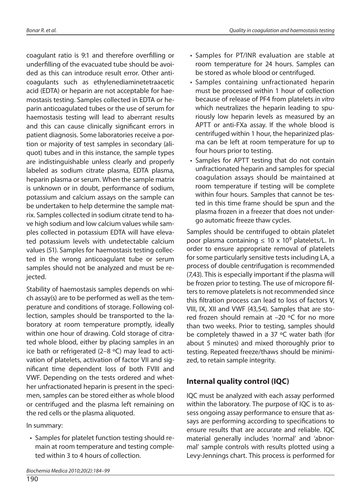coa gulant ratio is 9:1 and therefore over filling or under filling of the evacuated tube should be avoided as this can introduce result error. Other anticoa gulants such as ethyle ne dia mine tet raacetic acid (EDTA) or heparin are not acceptable for haemostasis testing. Samples collected in EDTA or heparin anticoa qulated tubes or the use of serum for hae mostasis testing will lead to aberrant results and this can cause clinically significant errors in patient diagnosis. Some laboratories receive a portion or majority of test samples in secondary (aliquot) tubes and in this instance, the sample types are indistinguishable unless clearly and properly labeled as sodium citrate plasma, EDTA plasma, heparin plasma or serum. When the sample matrix is unknown or in doubt, performance of sodium, potassium and calcium assays on the sample can be undertaken to help determine the sample matrix. Samples collected in sodium citrate tend to have high sodium and low calcium values while samples collected in potassium EDTA will have elevated potassium levels with undetectable calcium values (51). Samples for haemostasis testing collected in the wrong anticoagulant tube or serum samples should not be analyzed and must be rejected.

Stability of haemostasis samples depends on which assay(s) are to be performed as well as the temperature and conditions of storage. Following collection, samples should be transported to the laboratory at room temperature promptly, ideally within one hour of drawing. Cold storage of citrated whole blood, either by placing samples in an ice bath or refrigerated (2–8  $\degree$ C) may lead to activation of platelets, activation of factor VII and significant time dependent loss of both FVIII and VWF. Depending on the tests ordered and whether unfractionated heparin is present in the specimen, samples can be stored either as whole blood or centrifuged and the plasma left remaining on the red cells or the plasma aliquoted.

In summary:

190

• Samples for platelet function testing should remain at room temperature and testing completed within 3 to 4 hours of collection.

- Samples for PT/INR evaluation are stable at room temperature for 24 hours. Samples can be stored as whole blood or centrifuged.
- Samples containing unfractionated heparin must be processed within 1 hour of collection because of release of PF4 from platelets in vitro which neutralizes the heparin leading to spuriously low heparin levels as measured by an APTT or anti-FXa assay. If the whole blood is centrifuged within 1 hour, the heparinized plasma can be left at room temperature for up to four hours prior to testing.
- Samples for APTT testing that do not contain unfractionated heparin and samples for special coa gulation assays should be maintained at room temperature if testing will be complete within four hours. Samples that cannot be tested in this time frame should be spun and the plasma frozen in a freezer that does not undergo automatic freeze thaw cycles.

Samples should be centrifuged to obtain platelet poor plasma containing  $\leq 10 \times 10^9$  platelets/L. In order to ensure appropriate removal of platelets for some particularly sensitive tests including LA, a process of double centrifugation is recommended (7,43). This is especially important if the plasma will be frozen prior to testing. The use of micropore filters to remove platelets is not recommended since this filtration process can lead to loss of factors V, VIII, IX, XII and VWF (43,54). Samples that are stored frozen should remain at  $-20$  °C for no more than two weeks. Prior to testing, samples should be completely thawed in a 37  $\degree$ C water bath (for about 5 minutes) and mixed thoroughly prior to testing. Repeated freeze/thaws should be minimized, to retain sample integrity.

# **Internal quality control (IQC)**

IQC must be analyzed with each assay performed within the laboratory. The purpose of IQC is to assess ongoing assay performance to ensure that assays are performing according to specifications to ensure results that are accurate and reliable. IOC material generally includes 'normal' and 'abnormal' sample controls with results plotted using a Levy-Jennings chart. This process is performed for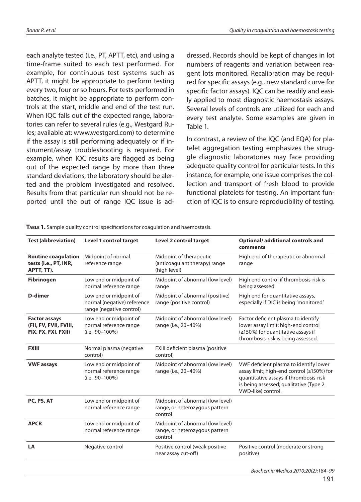each analyte tested (i.e., PT, APTT, etc), and using a time-frame suited to each test performed. For example, for continuous test systems such as APTT, it might be appropriate to perform testing every two, four or so hours. For tests performed in batches, it might be appropriate to perform controls at the start, middle and end of the test run. When IOC falls out of the expected range, laboratories can refer to several rules (e.g., Westgard Rules; available at: www.westgard.com) to determine if the assay is still performing adequately or if instrument/assay troubleshooting is required. For example, when IQC results are flagged as being out of the expected range by more than three standard deviations, the laboratory should be alerted and the problem investigated and resolved. Results from that particular run should not be reported until the out of range IQC issue is ad-

dressed. Records should be kept of changes in lot numbers of reagents and variation between reagent lots monitored. Recalibration may be required for specific assays (e.g., new standard curve for specific factor assays). IQC can be readily and easi-Iv applied to most diagnostic hae mostasis assays. Several levels of controls are utilized for each and every test analyte. Some examples are given in Table 1.

In contrast, a review of the IQC (and EQA) for platelet aggregation testing emphasizes the struggle diagnostic laboratories may face providing adequate quality control for particular tests. In this in stance, for example, one issue comprises the collection and transport of fresh blood to provide functional platelets for testing. An important function of IQC is to ensure reproducibility of testing.

| <b>Test (abbreviation)</b>                                            | <b>Level 1 control target</b>                                                     | <b>Level 2 control target</b>                                                 | Optional/additional controls and<br>comments                                                                                                                                                  |
|-----------------------------------------------------------------------|-----------------------------------------------------------------------------------|-------------------------------------------------------------------------------|-----------------------------------------------------------------------------------------------------------------------------------------------------------------------------------------------|
| <b>Routine coagulation</b><br>tests (i.e., PT, INR,<br>APTT, TT).     | Midpoint of normal<br>reference range                                             | Midpoint of therapeutic<br>(anticoagulant therapy) range<br>(high level)      | High end of therapeutic or abnormal<br>range                                                                                                                                                  |
| <b>Fibrinogen</b>                                                     | Low end or midpoint of<br>normal reference range                                  | Midpoint of abnormal (low level)<br>range                                     | High end control if thrombosis-risk is<br>being assessed.                                                                                                                                     |
| D-dimer                                                               | Low end or midpoint of<br>normal (negative) reference<br>range (negative control) | Midpoint of abnormal (positive)<br>range (positive control)                   | High end for quantitative assays,<br>especially if DIC is being 'monitored'                                                                                                                   |
| <b>Factor assays</b><br>(FII, FV, FVII, FVIII,<br>FIX, FX, FXI, FXII) | Low end or midpoint of<br>normal reference range<br>(i.e., 90-100%)               | Midpoint of abnormal (low level)<br>range (i.e., 20-40%)                      | Factor deficient plasma to identify<br>lower assay limit; high-end control<br>(≥150%) for quantitative assays if<br>thrombosis-risk is being assessed.                                        |
| <b>FXIII</b>                                                          | Normal plasma (negative<br>control)                                               | FXIII deficient plasma (positive<br>control)                                  |                                                                                                                                                                                               |
| <b>VWF assays</b>                                                     | Low end or midpoint of<br>normal reference range<br>(i.e., 90-100%)               | Midpoint of abnormal (low level)<br>range (i.e., 20-40%)                      | VWF deficient plasma to identify lower<br>assay limit; high-end control (≥150%) for<br>quantitative assays if thrombosis-risk<br>is being assessed; qualitative (Type 2<br>VWD-like) control. |
| PC, PS, AT                                                            | Low end or midpoint of<br>normal reference range                                  | Midpoint of abnormal (low level)<br>range, or heterozygous pattern<br>control |                                                                                                                                                                                               |
| <b>APCR</b>                                                           | Low end or midpoint of<br>normal reference range                                  | Midpoint of abnormal (low level)<br>range, or heterozygous pattern<br>control |                                                                                                                                                                                               |
| LA                                                                    | Negative control                                                                  | Positive control (weak positive<br>near assay cut-off)                        | Positive control (moderate or strong<br>positive)                                                                                                                                             |

**TABLE 1.** Sample quality control specifications for coagulation and haemostasis.

Biochemia Medica 2010;20(2):184–99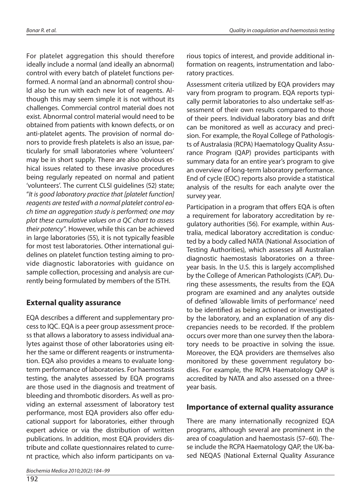For platelet aggregation this should therefore ideally include a normal (and ideally an abnormal) control with every batch of platelet functions performed. A normal (and an abnormal) control shou-Id also be run with each new lot of reagents. Although this may seem simple it is not without its challenges. Commercial control material does not exist. Abnormal control material would need to be obtained from patients with known defects, or on anti-platelet agents. The provision of normal donors to provide fresh platelets is also an issue, particularly for small laboratories where 'volunteers' may be in short supply. There are also obvious ethical issues related to these invasive procedures being regularly repeated on normal and patient 'volunteers'. The current CLSI guidelines (52) state; "It is good laboratory practice that [platelet function] reagents are tested with a normal platelet control each time an aggregation study is performed; one may plot these cumulative values on a QC chart to assess their potency". However, while this can be achieved in large laboratories (55), it is not typically feasible for most test laboratories. Other international guidelines on platelet function testing aiming to provide diagnostic laboratories with guidance on sample collection, processing and analysis are currently being formulated by members of the ISTH.

# **External quality assurance**

EQA describes a different and supplementary process to IQC. EQA is a peer group assessment process that allows a laboratory to assess individual analytes against those of other laboratories using either the same or different reagents or instrumentation. EQA also provides a means to evaluate longterm performance of laboratories. For haemostasis testing, the analytes assessed by EQA programs are those used in the diagnosis and treatment of bleeding and thrombotic disorders. As well as providing an external assessment of laboratory test performance, most EQA providers also offer educational support for laboratories, either through expert advice or via the distribution of written publications. In addition, most EQA providers distribute and collate questionnaires related to current practice, which also inform participants on va-

192

rious topics of interest, and provide additional information on reagents, instrumentation and laboratory practices.

Assessment criteria utilized by EQA providers may vary from program to program. EQA reports typically permit laboratories to also undertake self-assessment of their own results compared to those of their peers. Individual laboratory bias and drift can be monitored as well as accuracy and precision. For example, the Royal College of Pathologists of Australasia (RCPA) Hae matology Quality Assurance Program (QAP) provides participants with sum mary data for an entire year's program to give an overview of long-term laboratory performance. End of cycle (EOC) reports also provide a statistical analysis of the results for each analyte over the survey year.

Participation in a program that offers EQA is often a requirement for laboratory accreditation by regulatory authorities (56). For example, within Australia, medical laboratory accreditation is conducted by a body called NATA (National Association of Testing Authorities), which assesses all Australian diagnostic haemostasis laboratories on a threeyear basis. In the U.S. this is largely accomplished by the College of American Pathologists (CAP). During these assessments, the results from the EQA program are examined and any analytes outside of defined 'allowable limits of performance' need to be identified as being actioned or investigated by the laboratory, and an explanation of any discrepancies needs to be recorded. If the problem occurs over more than one survey then the laboratory needs to be proactive in solving the issue. Moreover, the EQA providers are themselves also monitored by these government regulatory bodies. For example, the RCPA Haematology QAP is accredited by NATA and also assessed on a threeyear basis.

# **Importance of external quality assurance**

There are many internationally recognized EQA programs, although several are prominent in the area of coagulation and hae mostasis (57–60). These include the RCPA Hae matology QAP, the UK-based NEQAS (National External Quality Assurance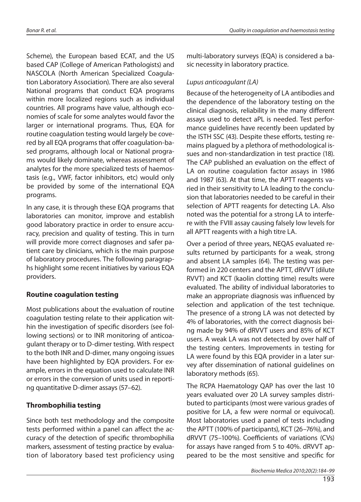Scheme), the European based ECAT, and the US based CAP (College of American Pathologists) and NASCOLA (North American Specialized Coagulation Laboratory Association). There are also several National programs that conduct EQA programs within more localized regions such as individual countries. All programs have value, although economies of scale for some analytes would favor the larger or international programs. Thus, EQA for routine coagulation testing would largely be covered by all EQA programs that offer coagulation-based programs, although local or National programs would likely dominate, whereas assessment of analytes for the more specialized tests of haemostasis (e.g., VWF, factor inhibitors, etc) would only be provided by some of the international EQA programs.

In any case, it is through these EQA programs that laboratories can monitor, improve and establish good laboratory practice in order to ensure accuracy, precision and quality of testing. This in turn will provide more correct diagnoses and safer patient care by clinicians, which is the main purpose of laboratory procedures. The following paragraphs highlight some recent initiatives by various EQA providers.

## **Routine coagulation testing**

Most publications about the evaluation of routine coagulation testing relate to their application within the investigation of specific disorders (see following sections) or to INR monitoring of anticoagulant therapy or to D-dimer testing. With respect to the both INR and D-dimer, many ongoing issues have been highlighted by EQA providers. For example, errors in the equation used to calculate INR or errors in the conversion of units used in reporting quantitative D-dimer assays (57–62).

# **Thrombophilia testing**

Since both test methodology and the composite tests performed within a panel can affect the accuracy of the detection of specific thrombophilia markers, assessment of testing practice by evaluation of laboratory based test proficiency using multi-laboratory surveys (EQA) is considered a basic necessity in laboratory practice.

## Lupus anticoa gulant (LA)

Because of the heterogeneity of LA antibodies and the dependence of the laboratory testing on the clinical diagnosis, reliability in the many different assays used to detect aPL is needed. Test performance guidelines have recently been updated by the ISTH SSC (43). Despite these efforts, testing remains plaqued by a plethora of methodological issues and non-standardization in test practice (18). The CAP published an evaluation on the effect of LA on routine coagulation factor assays in 1986 and 1987 (63). At that time, the APTT reagents varied in their sensitivity to LA leading to the conclusion that laboratories needed to be careful in their selection of APTT reagents for detecting LA. Also noted was the potential for a strong LA to interfere with the FVIII assay causing falsely low levels for all APTT reagents with a high titre LA.

Over a period of three years, NEQAS evaluated results returned by participants for a weak, strong and absent LA samples (64). The testing was performed in 220 centers and the APTT, dRVVT (dilute RVVT) and KCT (kaolin clotting time) results were evaluated. The ability of individual laboratories to make an appropriate diagnosis was influenced by selection and application of the test technique. The presence of a strong LA was not detected by 4% of laboratories, with the correct diagnosis being made by 94% of dRVVT users and 85% of KCT users. A weak LA was not detected by over half of the testing centers. Improvements in testing for LA were found by this EQA provider in a later survey after dissemination of national guidelines on laboratory methods (65).

The RCPA Haematology QAP has over the last 10 years evaluated over 20 LA survey samples distributed to participants (most were various grades of positive for LA, a few were normal or equivocal). Most laboratories used a panel of tests including the APTT (100% of participants), KCT (26–76%), and dRVVT (75-100%). Coefficients of variations (CVs) for assays have ranged from 5 to 40%. dRVVT appeared to be the most sensitive and specific for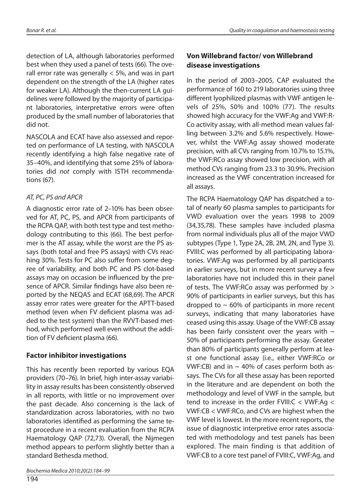detection of LA, although laboratories performed best when they used a panel of tests (66). The overall error rate was generally  $<$  5%, and was in part dependent on the strength of the LA (higher rates for weaker LA). Although the then-current LA guidelines were followed by the majority of participant laboratories, interpretative errors were often produced by the small number of laboratories that did not.

NASCOLA and ECAT have also assessed and reported on performance of LA testing, with NASCOLA recently identifying a high false negative rate of 35–40%, and identifying that some 25% of laboratories did not comply with ISTH recommendations (67).

# AT, PC, PS and APCR

A diagnostic error rate of 2–10% has been observed for AT, PC, PS, and APCR from participants of the RCPA QAP, with both test type and test methodology contributing to this (66). The best performer is the AT assay, while the worst are the PS assays (both total and free PS assays) with CVs reaching 30%. Tests for PC also suffer from some degree of variability, and both PC and PS clot-based assays may on occasion be influenced by the presence of APCR. Similar findings have also been reported by the NEQAS and ECAT (68,69). The APCR assay error rates were greater for the APTT-based method (even when FV deficient plasma was added to the test system) than the RVVT-based method, which performed well even without the addition of FV deficient plasma (66).

## **Factor inhibitor investigations**

This has recently been reported by various EQA providers (70–76). In brief, high inter-assay variability in assay results has been consistently observed in all reports, with little or no improvement over the past decade. Also concerning is the lack of standardization across laboratories, with no two laboratories identified as performing the same test procedure in a recent evaluation from the RCPA Hae matology QAP (72,73). Overall, the Nijmegen method appears to perform slightly better than a standard Bethesda method.

194

# **Von Willebrand factor/ von Willebrand di sea se in ves ti ga tio ns**

In the period of 2003–2005, CAP evaluated the performance of 160 to 219 laboratories using three different lyophilized plasmas with VWF antigen levels of 25%, 50% and 100% (77). The results showed high accuracy for the VWF:Ag and VWF:R-Co activity assay, with all-method mean values falling between 3.2% and 5.6% respectively. However, whilst the VWF:Ag assay showed moderate precision, with all CVs ranging from 10.7% to 15.1%, the VWF:RCo assay showed low precision, with all method CVs ranging from 23.3 to 30.9%. Precision increased as the VWF concentration increased for all assays.

The RCPA Haematology QAP has dispatched a total of nearly 60 plasma samples to participants for VWD evaluation over the years 1998 to 2009 (34,35,78). These samples have included plasma from normal individuals plus all of the major VWD subtypes (Type 1, Type 2A, 2B, 2M, 2N, and Type 3). FVIII: C was performed by all participating laboratories. VWF:Ag was performed by all participants in earlier surveys, but in more recent survey a few laboratories have not included this in their panel of tests. The VWF:RCo assay was performed by  $>$ 90% of participants in earlier surveys, but this has dropped to  $\sim$  60% of participants in more recent surveys, indicating that many laboratories have ceased using this assay. Usage of the VWF:CB assay has been fairly consistent over the years with  $\sim$ 50% of participants performing the assay. Greater than 80% of participants generally perform at least one functional assay (i.e., either VWF:RCo or VWF:CB) and in  $\sim$  40% of cases perform both assays. The CVs for all these assay has been reported in the literature and are dependent on both the methodology and level of VWF in the sample, but tend to increase in the order FVIII: $C < VWF:Ag <$  $VWF:CB < VWF:RCo$ , and CVs are highest when the VWF level is lowest. In the more recent reports, the issue of diagnostic interpretive error rates associated with methodology and test panels has been explored. The main finding is that addition of VWF:CB to a core test panel of FVIII:C, VWF:Ag, and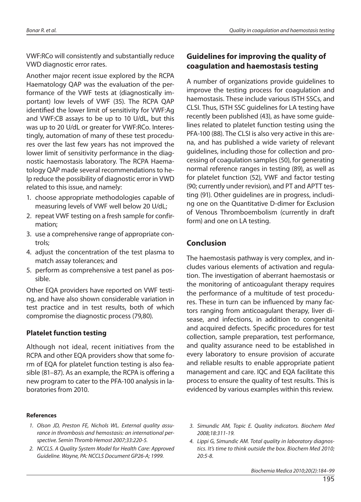VWF:RCo will consistently and substantially reduce VWD diagnostic error rates.

Another major recent issue explored by the RCPA Hae matology QAP was the evaluation of the performance of the VWF tests at (diagnostically important) low levels of VWF (35). The RCPA QAP identified the lower limit of sensitivity for VWF:Ag and VWF:CB assays to be up to 10 U/dL, but this was up to 20 U/dL or greater for VWF:RCo. Interestingly, automation of many of these test procedures over the last few years has not improved the lower limit of sensitivity performance in the diagnostic haemostasis laboratory. The RCPA Haematology OAP made several recommendations to he-Ip reduce the possibility of diagnostic error in VWD related to this issue, and namely:

- 1. choose appropriate methodologies capable of measuring levels of VWF well below 20 U/dL;
- 2. repeat VWF testing on a fresh sample for confirmation:
- 3. use a comprehensive range of appropriate controls:
- 4. adjust the concentration of the test plasma to match assay to lerances; and
- 5. perform as comprehensive a test panel as possible.

Other EQA providers have reported on VWF testing, and have also shown considerable variation in test practice and in test results, both of which com promise the diagnostic process (79,80).

#### **Platelet function testing**

Although not ideal, recent initiatives from the RCPA and other EQA providers show that some form of EQA for platelet function testing is also feasible  $(81-87)$ . As an example, the RCPA is offering a new program to cater to the PFA-100 analysis in laboratories from 2010.

# **Guidelines for improving the quality of coagulation and haemostasis testing**

A number of organizations provide guidelines to improve the testing process for coagulation and hae mostasis. These include various ISTH SSCs, and CLSI. Thus, ISTH SSC quidelines for LA testing have recently been published (43), as have some quidelines related to platelet function testing using the PFA-100 (88). The CLSI is also very active in this arena, and has published a wide variety of relevant guidelines, including those for collection and processing of coagulation samples (50), for generating normal reference ranges in testing (89), as well as for platelet function (52), VWF and factor testing (90; currently under revision), and PT and APTT testing (91). Other quidelines are in progress, including one on the Quantitative D-dimer for Exclusion of Venous Thromboembolism (currently in draft form) and one on LA testing.

# **Con clu sion**

The haemostasis pathway is very complex, and includes various elements of activation and regulation. The investigation of aberrant hae mostasis or the monitoring of anticoagulant therapy requires the performance of a multitude of test procedures. These in turn can be influenced by many factors ranging from anticoagulant therapy, liver disease, and infections, in addition to congenital and acquired defects. Specific procedures for test collection, sample preparation, test performance, and quality assurance need to be established in every laboratory to ensure provision of accurate and reliable results to enable appropriate patient mana gement and care. IQC and EQA facilitate this process to ensure the quality of test results. This is evidenced by various examples within this review.

#### **Re feren ces**

- 1. Olson JD, Preston FE, Nichols WL. External quality assurance in thrombosis and hemostasis: an international perspective. Semin Thromb Hemost 2007;33:220-5.
- 2. NCCLS. A Quality System Model for Health Care: Approved Guideline. Wayne, PA: NCCLS Document GP26-A; 1999.
- 3. Simundic AM, Topic E. Quality indicators. Biochem Med 2008;18:311-19.
- 4. Lippi G, Simundic AM. Total quality in laboratory diagnostics. It's time to think outside the box. Biochem Med 2010; 20:5-8.

Biochemia Medica 2010;20(2):184–99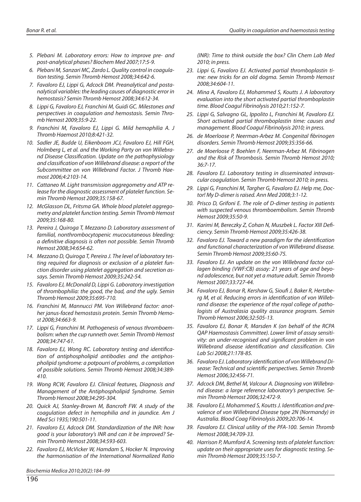- 5. Plebani M. Laboratory errors: How to improve pre- and post-analytical phases? Biochem Med 2007;17:5-9.
- 6. Plebani M, Sanzari MC, Zardo L. Quality control in coagulation testing. Semin Thromb Hemost 2008:34:642-6.
- 7. Favaloro EJ, Lippi G, Adcock DM. Preanalytical and postanalytical variables: the leading causes of diagnostic error in hemostasis? Semin Thromb Hemost 2008;34:612-34.
- 8. Lippi G, Favaloro EJ, Franchini M, Guidi GC. Milestones and perspectives in coaqulation and hemostasis. Semin Thromb Hemost 2009;35:9-22.
- 9. Franchini M, Favaloro EJ, Lippi G. Mild hemophilia A. J Thromb Haemost 2010;8:421-32.
- 10. Sadler JE, Budde U, Eikenboom JCJ, Favaloro EJ, Hill FGH, Holmberg L, et al. and the Working Party on von Willebrand Disease Classification. Update on the pathophysiology and classification of von Willebrand disease: a report of the Subcommittee on von Willebrand Factor. J Thromb Haemo st 2006;4:2103-14.
- 11. Cattaneo M. Light transmission aggregometry and ATP release for the diagnostic assessment of platelet function. Semin Thromb Hemost 2009;35:158-67.
- 12. McGlasson DL, Fritsma GA. Whole blood platelet aggregometry and platelet function testing. Semin Thromb Hemost 2009;35:168-80.
- 13. Pereira J, Quiroga T, Mezzano D. Laboratory assessment of familial, nonthrombocytopenic mucocutaneous bleeding: a definitive diagnosis is often not possible. Semin Thromb Hemost 2008;34:654-62.
- 14. Mezzano D, Quiroga T, Pereira J. The level of laboratory testing required for diagnosis or exclusion of a platelet function disorder using platelet aggregation and secretion assays. Semin Thromb Hemost 2009;35:242-54.
- 15. Favaloro EJ, McDonald D, Lippi G. Laboratory investigation of thrombophilia: the good, the bad, and the ugly. Semin Thromb Hemost 2009;35:695-710.
- 16. Franchini M, Mannucci PM, Von Willebrand factor: another janus-faced hemostasis protein. Semin Thromb Hemost 2008;34:663-9.
- 17. Lippi G, Franchini M. Pathogenesis of venous thromboembolism: when the cup runneth over. Semin Thromb Hemost 2008;34:747-61.
- 18. Favaloro EJ, Wong RC. Laboratory testing and identification of antiphospholipid antibodies and the antiphospholipid syndrome: a potpourri of problems, a compilation of possible solutions. Semin Thromb Hemost 2008;34:389-410.
- 19. Wong RCW, Favaloro EJ. Clinical features, Diagnosis and Management of the Antiphospholipid Syndrome. Semin Thromb Hemost 2008;34:295-304.
- 20. Quick AJ, Stanley-Brown M, Bancroft FW. A study of the coa gulation defect in he mophilia and in jaundice. Am J Med Sci 1935;190:501-11.
- 21. Favaloro EJ, Adcock DM. Standardization of the INR: how good is your laboratory's INR and can it be improved? Semin Thromb Hemost 2008;34:593-603.
- 22. Favaloro EJ, McVicker W, Hamdam S, Hocker N. Improving the harmonisation of the International Normalized Ratio

Biochemia Medica 2010;20(2):184–99

(INR): Time to think outside the box? Clin Chem Lab Med 2010; in press.

- 23. Lippi G, Favaloro EJ. Activated partial thromboplastin time: new tricks for an old dogma. Semin Thromb Hemost 2008;34:604-11.
- 24. Mina A, Favaloro EJ, Mohammed S, Koutts J. A laboratory evaluation into the short activated partial thromboplastin time. Blood Coagul Fibrinolysis 2010;21:152-7.
- 25. Lippi G, Salvagno GL, Ippolito L, Franchini M, Favaloro EJ. Short activated partial thromboplastin time: causes and management. Blood Coagul Fibrinolysis 2010; in press.
- 26. de Moerloose P, Neerman-Arbez M. Congenital fibrinogen disorders. Semin Thromb Hemost 2009;35:356-66.
- 27. de Moerloose P, Boehlen F, Neerman-Arbez M. Fibrinogen and the Risk of Thrombosis. Semin Thromb Hemost 2010: 36:7-17.
- 28. Favaloro EJ. Laboratory testing in disseminated intravascular coagulation. Semin Thromb Hemost 2010; in press.
- 29. Lippi G, Franchini M, Targher G, Favaloro EJ. Help me, Doctor! My D-dimer is raised. Ann Med 2008;3:1-12.
- 30. Prisco D, Grifoni E. The role of D-dimer testing in patients with suspected venous thromboembolism. Semin Thromb Hemost 2009;35:50-9.
- 31. Karimi M, Bereczky Z, Cohan N, Muszbek L. Factor XIII Deficiency. Semin Thromb Hemost 2009;35:426-38.
- 32. Favaloro EJ. Toward a new paradiam for the identification and functional characterization of von Willebrand disease. Semin Thromb Hemost 2009:35:60-75.
- 33. Favaloro EJ. An update on the von Willebrand factor collagen binding (VWF:CB) assay: 21 years of age and beyond adolescence, but not yet a mature adult. Semin Thromb Hemost 2007;33:727-44.
- 34. Favaloro EJ, Bonar R, Kershaw G, Sioufi J, Baker R, Hertzberg M, et al. Reducing errors in identification of von Willebrand disease: the experience of the royal college of pathologists of Australasia quality assurance program. Semin Thromb Hemost 2006;32:505-13.
- 35. Favaloro EJ, Bonar R, Marsden K (on behalf of the RCPA QAP Haemostasis Committee). Lower limit of assay sensitivity: an under-recognised and significant problem in von Willebrand disease identification and classification. Clin Lab Sci 2008;21:178-85.
- 36. Favaloro EJ. Laboratory identification of von Willebrand Disease: Technical and scientific perspectives. Semin Thromb Hemost 2006;32:456-71.
- 37. Adcock DM, Bethel M, Valcour A. Diagnosing von Willebrand disease: a large reference laboratory's perspective. Semin Thromb Hemost 2006;32:472-9.
- 38. Favaloro EJ, Mohammed S, Koutts J. Identification and prevalence of von Willebrand Disease type 2N (Normandy) in Australia. Blood Coag Fibrinolysis 2009;20:706-14.
- 39. Favaloro EJ. Clinical utility of the PFA-100. Semin Thromb Hemost 2008;34:709-33.
- 40. Harrison P, Mumford A. Screening tests of platelet function: update on their appropriate uses for diagnostic testing. Semin Thromb Hemost 2009;35:150-7.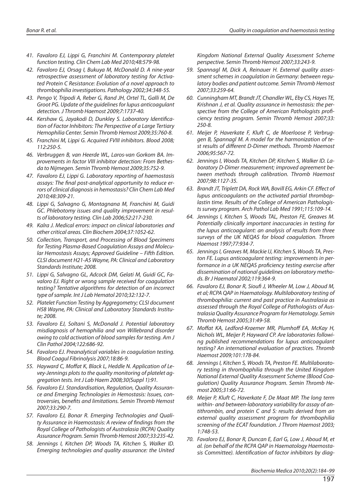- 41. Favaloro EJ, Lippi G, Franchini M. Contemporary platelet function testing. Clin Chem Lab Med 2010;48:579-98.
- 42. Favaloro EJ, Orsag I, Bukuya M, McDonald D. A nine-year retrospective assessment of laboratory testing for Activated Protein C Resistance: Evolution of a novel approach to thrombophilia investigations. Pathology 2002;34:348-55.
- 43. Pengo V, Tripodi A, Reber G, Rand JH, Ortel TL, Galli M, De Groot PG. Update of the quidelines for lupus anticoaqulant detection. J Thromb Haemost 2009;7:1737-40.
- 44. Kershaw G, Jayakodi D, Dunkley S. Laboratory Identification of Factor Inhibitors: The Perspective of a Large Tertiary Hemophilia Center. Semin Thromb Hemost 2009;35:760-8.
- 45. Franchini M, Lippi G. Acquired FVIII inhibitors. Blood 2008; 112:250-5.
- 46. Verbruggen B, van Heerde WL, Laros-van Gorkom BA. Improvements in factor VIII inhibitor detection: From Bethesda to Nijmegen. Semin Thromb Hemost 2009;35:752-9.
- 47. Favaloro EJ, Lippi G. Laboratory reporting of haemostasis assays: The final post-analytical opportunity to reduce errors of clinical diagnosis in hemostasis? Clin Chem Lab Med 2010;48:309-21.
- 48. Lippi G, Salvaano G, Montagnana M, Franchini M, Guidi GC. Phlebotomy issues and quality improvement in results of laboratory testing. Clin Lab 2006;52:217-230.
- 49. Kalra J. Medical errors: impact on clinical laboratories and other critical areas. Clin Biochem 2004;37:1052-62.
- 50. Collection, Transport, and Processing of Blood Specimens for Testing Plasma-Based Coagulation Assays and Molecular Hemostasis Assays; Approved Guideline – Fifth Edition. CLSI document H21-A5 Wayne, PA: Clinical and Laboratory Standards Institute; 2008.
- 51. Lippi G, Salvagno GL, Adcock DM, Gelati M, Guidi GC, Favaloro EJ. Right or wrong sample received for coagulation testing? Tentative algorithms for detection of an incorrect type of sample. Int J Lab Hematol 2010;32:132-7.
- 52. Platelet Function Testing by Aggregometry; CLSI document H58 Wayne, PA: Clinical and Laboratory Standards Institute; 2008.
- 53. Favaloro EJ, Soltani S, McDonald J. Potential laboratory misdiagnosis of hemophilia and von Willebrand disorder owing to cold activation of blood samples for testing. Am J Clin Pathol 2004;122:686-92.
- 54. Favaloro EJ. Preanalytical variables in coagulation testing. Blood Coagul Fibrinolysis 2007;18:86-9.
- 55. Hayward C, Moffat K, Black L, Heddle N. Application of Levey-Jennings plots to the quality monitoring of platelet aggregation tests. Int J Lab Haem 2008;30(Suppl 1):91.
- 56. Favaloro EJ. Standardisation, Regulation, Quality Assurance and Emerging Technologies in Hemostasis: Issues, controversies, benefits and limitations. Semin Thromb Hemost 2007;33:290-7.
- 57. Favaloro EJ, Bonar R. Emerging Technologies and Quality Assurance in Haemostasis: A review of findings from the Royal College of Pathologists of Australasia (RCPA) Quality Assurance Program. Semin Thromb Hemost 2007;33:235-42.
- 58. Jennings I, Kitchen DP, Woods TA, Kitchen S, Walker ID. Emerging technologies and quality assurance: the United

Kingdom National External Quality Assessment Scheme perspective. Semin Thromb Hemost 2007;33:243-9.

- 59. Spannagl M, Dick A, Reinauer H. External quality assessment schemes in coagulation in Germany: between regulatory bodies and patient outcome. Semin Thromb Hemost 2007;33:259-64.
- 60. Cunningham MT, Brandt JT, Chandler WL, Eby CS, Hayes TE, Krishnan J, et al. Quality assurance in hemostasis: the perspective from the College of American Pathologists proficiency testing program. Semin Thromb Hemost 2007;33: 250-8.
- 61. Meijer P, Haverkate F, Kluft C, de Moerloose P, Verbruggen B, Spannagl M. A model for the harmonization of test results of different D-Dimer methods. Thromb Haemost 2006;95:567-72.
- 62. Jennings I, Woods TA, Kitchen DP, Kitchen S, Walker ID. Laboratory D-Dimer measurement; improved agreement between methods throuah calibration. Thromb Haemost 2007;98:1127-35.
- 63. Brandt JT, Triplett DA, Rock WA, Bovill EG, Arkin CF. Effect of lupus anticoagulants on the activated partial thromboplastin time. Results of the College of American Pathologists survey program. Arch Pathol Lab Med 1991;115:109-14.
- 64. Jennings I, Kitchen S, Woods TAL, Preston FE, Greaves M. Potentially clinically important inaccuracies in testing for the lupus anticoagulant: an analysis of results from three surveys of the UK NEQAS for blood coagulation. Throm Haemost 1997;77:934-7.
- 65. Jennings I, Greaves M, Mackie IJ, Kitchen S, Woods TA, Preston FE. Lupus anticoagulant testing: improvements in performance in a UK NEQAS proficiency testing exercise after dissemination of national guidelines on laboratory methods. Br J Hae ma tol 2002;119:364-9.
- 66. Favaloro EJ, Bonar R, Sioufi J, Wheeler M, Low J, Aboud M, et al; RCPA QAP in Haematology. Multilaboratory testing of thrombophilia: current and past practice in Australasia as assessed through the Royal College of Pathologists of Australasia Quality Assurance Program for Hematology. Semin Thromb Hemost 2005;31:49-58.
- 67. Moffat KA, Ledford-Kraemer MR, Plumhoff EA, McKay H, Nichols WL, Meijer P, Hayward CP. Are laboratories following published recommendations for lupus anticoagulant testing? An international evaluation of practices. Thromb Hae mo st 2009;101:178-84.
- 68. Jennings I, Kitchen S, Woods TA, Preston FE. Multilaboratory testing in thrombophilia through the United Kingdom National External Quality Assessment Scheme (Blood Coagulation) Quality Assurance Program. Semin Thromb Hemost 2005;31:66-72.
- 69. Meijer P, Kluft C, Haverkate F, De Maat MP. The long term within- and between-laboratory variability for assay of antithrombin, and protein C and S: results derived from an external quality assessment program for thrombophilia screening of the ECAT foundation. J Throm Haemost 2003; 1:748-53.
- 70. Favaloro EJ, Bonar R, Duncan E, Earl G, Low J, Aboud M, et al. (on behalf of the RCPA QAP in Haematology Haemostasis Committee). Identification of factor inhibitors by diag-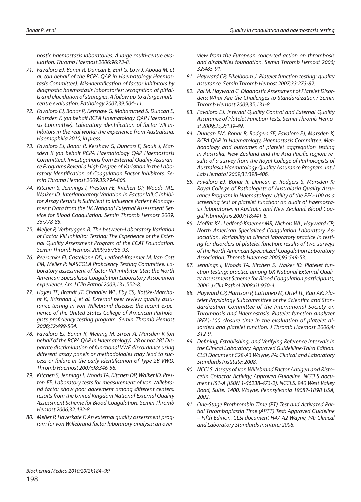nostic haemostasis laboratories: A large multi-centre evaluation. Thromb Haemost 2006;96:73-8.

- 71. Favaloro EJ, Bonar R, Duncan E, Earl G, Low J, Aboud M, et al. (on behalf of the RCPA QAP in Haematology Haemostasis Committee). Mis-identification of factor inhibitors by diagnostic haemostasis laboratories: recognition of pitfal-Is and elucidation of strategies. A follow up to a large multicentre evaluation. Pathology 2007;39:504-11.
- 72. Favaloro EJ, Bonar R, Kershaw G, Mohammed S, Duncan E, Marsden K (on behalf RCPA Haematology QAP Haemostasis Committee). Laboratory identification of factor VIII inhibitors in the real world: the experience from Australasia. Hae mophilia 2010; in press.
- 73. Favaloro EJ, Bonar R, Kershaw G, Duncan E, Sioufi J, Marsden K (on behalf RCPA Haematology QAP Haemostasis Committee). Investigations from External Quality Assurance Programs Reveal a High Degree of Variation in the Laboratory Identification of Coagulation Factor Inhibitors. Semin Thromb Hemost 2009;35:794-805.
- 74. Kitchen S, Jennings I, Preston FE, Kitchen DP, Woods TAL, Walker ID. Interlaboratory Variation in Factor VIII:C Inhibitor Assay Results Is Sufficient to Influence Patient Management: Data from the UK National External Assessment Service for Blood Coagulation. Semin Thromb Hemost 2009; 35:778-85.
- 75. Meijer P, Verbruggen B. The between-Laboratory Variation of Factor VIII Inhibitor Testing: The Experience of the External Quality Assessment Program of the ECAT Foundation. Semin Thromb Hemost 2009;35:786-93.
- 76. Peerschke EI, Castellone DD, Ledford-Kraemer M, Van Cott EM, Meijer P; NASCOLA Proficiency Testing Committee. Laboratory assessment of factor VIII inhibitor titer: the North American Specialized Coagulation Laboratory Association experience. Am J Clin Pathol 2009;131:552-8.
- 77. Hayes TE, Brandt JT, Chandler WL, Eby CS, Kottke-Marchant K, Krishnan J, et al. External peer review quality assurance testing in von Willebrand disease: the recent experience of the United States College of American Pathologists proficiency testing program. Semin Thromb Hemost 2006;32:499-504.
- 78. Favaloro EJ, Bonar R, Meiring M, Street A, Marsden K (on behalf of the RCPA QAP in Haematology). 2B or not 2B? Disparate discrimination of functional VWF discordance using different assay panels or methodologies may lead to success or failure in the early identification of Type 2B VWD. Thromb Haemost 2007;98:346-58.
- 79. Kitchen S, Jennings I, Woods TA, Kitchen DP, Walker ID, Preston FE. Laboratory tests for measurement of von Willebrand factor show poor agreement among different centers: results from the United Kingdom National External Quality Assessment Scheme for Blood Coagulation. Semin Thromb Hemost 2006;32:492-8.
- 80. Meijer P, Haverkate F. An external quality assessment program for von Willebrand factor laboratory analysis: an over-

view from the European concerted action on thrombosis and disabilities foundation. Semin Thromb Hemost 2006; 32:485-91.

- 81. Hayward CP, Eikelboom J. Platelet function testing: quality assurance. Semin Thromb Hemost 2007;33:273-82.
- 82. Pai M, Hayward C. Diagnostic Assessment of Platelet Disorders: What Are the Challenges to Standardization? Semin Thromb Hemost 2009;35:131-8.
- 83. Favaloro EJ. Internal Quality Control and External Quality Assurance of Platelet Function Tests. Semin Thromb Hemost 2009;35,2:139-49.
- 84. Duncan EM, Bonar R, Rodgers SE, Favaloro EJ, Marsden K; RCPA QAP in Haematology, Haemostasis Committee. Methodology and outcomes of platelet aggregation testing in Australia, New Zealand and the Asia-Pacific reaion: results of a survey from the Royal College of Pathologists of Australasia Haematology Quality Assurance Program. Int J Lab Hematol 2009:31:398-406.
- 85. Favaloro EJ, Bonar R, Duncan E, Rodgers S, Marsden K; Royal College of Pathologists of Australasia Quality Assurance Program in Haematology. Utility of the PFA-100 as a screening test of platelet function: an audit of haemostasis laboratories in Australia and New Zealand. Blood Coagul Fibrinolysis 2007;18:441-8.
- 86. Moffat KA, Ledford-Kraemer MR, Nichols WL, Hayward CP; North American Specialized Coagulation Laboratory Association. Variability in clinical laboratory practice in testing for disorders of platelet function: results of two surveys of the North American Specialized Coagulation Laboratory Association. Thromb Haemost 2005;93:549-53.
- 87. Jennings I, Woods TA, Kitchen S, Walker ID. Platelet function testing: practice among UK National External Quality Assessment Scheme for Blood Coagulation participants, 2006. J Clin Pathol 2008;61:950-4.
- 88. Hayward CP, Harrison P, Cattaneo M, Ortel TL, Rao AK; Platelet Physiology Subcommittee of the Scientific and Standardization Committee of the International Society on Thrombosis and Haemostasis. Platelet function analyzer (PFA)-100 closure time in the evaluation of platelet disorders and platelet function. J Thromb Haemost 2006;4: 312-9.
- 89. Defining, Establishing, and Verifying Reference Intervals in the Clinical Laboratory. Approved Guideliline-Third Edition. CLSI Document C28-A3 Wayne, PA: Clinical and Laboratory Standards Institute; 2008.
- 90. NCCLS. Assays of von Willebrand Factor Antigen and Ristocetin Cofactor Activity; Approved Guideline. NCCLS document H51-A [ISBN 1-56238-473-2]. NCCLS, 940 West Valley Road, Suite. 1400, Wayne, Pennsylvania 19087-1898 USA, 2002.
- 91. One-Stage Prothrombin Time (PT) Test and Activated Partial Thromboplastin Time (APTT) Test; Approved Guideline – Fifth Edition. CLSI document H47-A2 Wayne, PA: Clinical and Laboratory Standards Institute; 2008.